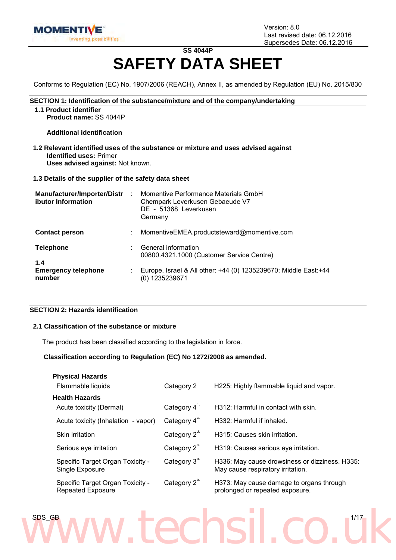

### **SS 4044P SAFETY DATA SHEET**

Conforms to Regulation (EC) No. 1907/2006 (REACH), Annex II, as amended by Regulation (EU) No. 2015/830

#### **SECTION 1: Identification of the substance/mixture and of the company/undertaking**

**1.1 Product identifier**

**Product name:** SS 4044P

**Additional identification**

**1.2 Relevant identified uses of the substance or mixture and uses advised against Identified uses:** Primer **Uses advised against:** Not known.

**1.3 Details of the supplier of the safety data sheet**

| <b>Manufacturer/Importer/Distr</b><br>ibutor Information | Momentive Performance Materials GmbH<br>Chempark Leverkusen Gebaeude V7<br>DE - 51368 Leverkusen<br>Germany |
|----------------------------------------------------------|-------------------------------------------------------------------------------------------------------------|
| <b>Contact person</b>                                    | MomentiveEMEA.productsteward@momentive.com                                                                  |
| <b>Telephone</b>                                         | General information<br>00800.4321.1000 (Customer Service Centre)                                            |
| 1.4<br><b>Emergency telephone</b><br>number              | Europe, Israel & All other: +44 (0) 1235239670; Middle East:+44<br>(0) 1235239671                           |

#### **SECTION 2: Hazards identification**

#### **2.1 Classification of the substance or mixture**

The product has been classified according to the legislation in force.

#### **Classification according to Regulation (EC) No 1272/2008 as amended.**

| <b>Physical Hazards</b>                                      |                            |                                                                                     |
|--------------------------------------------------------------|----------------------------|-------------------------------------------------------------------------------------|
| Flammable liquids                                            | Category 2                 | H225: Highly flammable liquid and vapor.                                            |
| <b>Health Hazards</b>                                        |                            |                                                                                     |
| Acute toxicity (Dermal)                                      | Category $4^{\frac{1}{2}}$ | H312: Harmful in contact with skin.                                                 |
| Acute toxicity (Inhalation - vapor)                          | Category $4^{2}$           | H332: Harmful if inhaled.                                                           |
| <b>Skin irritation</b>                                       | Category $2^{3}$           | H315: Causes skin irritation.                                                       |
| Serious eye irritation                                       | Category $2^{4}$           | H319: Causes serious eye irritation.                                                |
| Specific Target Organ Toxicity -<br>Single Exposure          | Category 3 <sup>5.</sup>   | H336: May cause drowsiness or dizziness. H335:<br>May cause respiratory irritation. |
| Specific Target Organ Toxicity -<br><b>Repeated Exposure</b> | Category 2 <sup>o</sup>    | H373: May cause damage to organs through<br>prolonged or repeated exposure.         |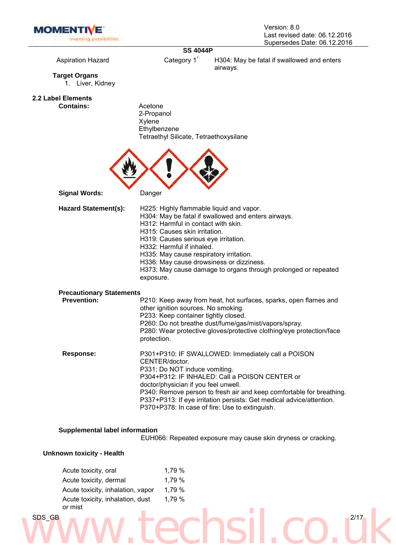

### **SS 4044P**

Aspiration Hazard **Category 1<sup>7</sup>** H304: May be fatal if swallowed and enters airways.

**Target Organs**

1. Liver, Kidney

**2.2 Label Elements**

**Contains:** Acetone 2-Propanol Xylene **Ethylbenzene** Tetraethyl Silicate, Tetraethoxysilane



**Signal Words:** Danger

| <b>Hazard Statement(s):</b>     | H225: Highly flammable liquid and vapor.<br>H304: May be fatal if swallowed and enters airways.<br>H312: Harmful in contact with skin.<br>H315: Causes skin irritation.<br>H319: Causes serious eye irritation.<br>H332: Harmful if inhaled.<br>H335: May cause respiratory irritation.<br>H336: May cause drowsiness or dizziness.<br>H373: May cause damage to organs through prolonged or repeated<br>exposure. |
|---------------------------------|--------------------------------------------------------------------------------------------------------------------------------------------------------------------------------------------------------------------------------------------------------------------------------------------------------------------------------------------------------------------------------------------------------------------|
| <b>Precautionary Statements</b> |                                                                                                                                                                                                                                                                                                                                                                                                                    |
| <b>Prevention:</b>              | P210: Keep away from heat, hot surfaces, sparks, open flames and<br>other ignition sources. No smoking.<br>P233: Keep container tightly closed.<br>P260: Do not breathe dust/fume/gas/mist/vapors/spray.<br>P280: Wear protective gloves/protective clothing/eye protection/face<br>protection.                                                                                                                    |
| <b>Response:</b>                | P301+P310: IF SWALLOWED: Immediately call a POISON<br>CENTER/doctor.<br>P331: Do NOT induce vomiting.<br>P304+P312: IF INHALED: Call a POISON CENTER or<br>doctor/physician if you feel unwell.<br>P340: Remove person to fresh air and keep comfortable for breathing.<br>P337+P313: If eye irritation persists: Get medical advice/attention.<br>P370+P378: In case of fire: Use to extinguish.                  |

#### **Supplemental label information**

EUH066: Repeated exposure may cause skin dryness or cracking.

#### **Unknown toxicity - Health**

|        | Acute toxicity, oral<br>Acute toxicity, dermal | 1,79 %<br>1,79 % |  |      |
|--------|------------------------------------------------|------------------|--|------|
|        | Acute toxicity, inhalation, vapor              | 1,79 %           |  |      |
|        | Acute toxicity, inhalation, dust<br>or mist    | 1,79 %           |  |      |
| SDS_GB |                                                |                  |  | 2/17 |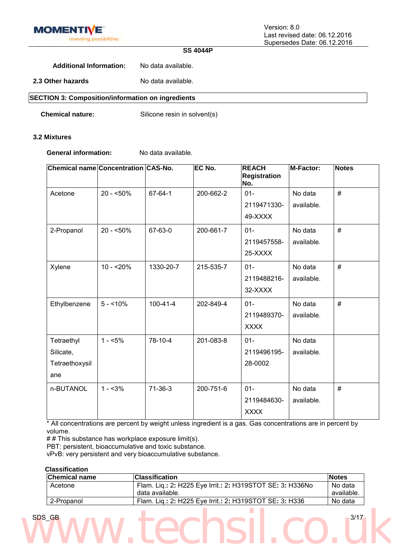

#### **SS 4044P**

**Additional Information:** No data available.

**2.3 Other hazards** No data available.

**SECTION 3: Composition/information on ingredients**

**Chemical nature:** Silicone resin in solvent(s)

#### **3.2 Mixtures**

**General information:** No data available.

| Chemical name Concentration CAS-No. |             |                | EC No.    | <b>REACH</b><br>Registration<br>No. | <b>M-Factor:</b> | <b>Notes</b> |
|-------------------------------------|-------------|----------------|-----------|-------------------------------------|------------------|--------------|
| Acetone                             | $20 - 50\%$ | 67-64-1        | 200-662-2 | $01 -$<br>2119471330-               | No data          | #            |
|                                     |             |                |           | 49-XXXX                             | available.       |              |
| 2-Propanol                          | $20 - 50\%$ | 67-63-0        | 200-661-7 | $01 -$                              | No data          | #            |
|                                     |             |                |           | 2119457558-                         | available.       |              |
|                                     |             |                |           | 25-XXXX                             |                  |              |
| Xylene                              | $10 - 20%$  | 1330-20-7      | 215-535-7 | $01 -$                              | No data          | #            |
|                                     |             |                |           | 2119488216-                         | available.       |              |
|                                     |             |                |           | 32-XXXX                             |                  |              |
| Ethylbenzene                        | $5 - 10\%$  | $100 - 41 - 4$ | 202-849-4 | $01 -$                              | No data          | #            |
|                                     |             |                |           | 2119489370-                         | available.       |              |
|                                     |             |                |           | <b>XXXX</b>                         |                  |              |
| Tetraethyl                          | $1 - 5%$    | 78-10-4        | 201-083-8 | $01 -$                              | No data          |              |
| Silicate,                           |             |                |           | 2119496195-                         | available.       |              |
| Tetraethoxysil                      |             |                |           | 28-0002                             |                  |              |
| ane                                 |             |                |           |                                     |                  |              |
| n-BUTANOL                           | $1 - 3%$    | $71-36-3$      | 200-751-6 | $01 -$                              | No data          | #            |
|                                     |             |                |           | 2119484630-                         | available.       |              |
|                                     |             |                |           | <b>XXXX</b>                         |                  |              |

\* All concentrations are percent by weight unless ingredient is a gas. Gas concentrations are in percent by volume.

## This substance has workplace exposure limit(s).

PBT: persistent, bioaccumulative and toxic substance.

vPvB: very persistent and very bioaccumulative substance.

#### **Classification**

| <b>Chemical name</b> | <b>Classification</b>                                     | <b>Notes</b> |
|----------------------|-----------------------------------------------------------|--------------|
| Acetone              | Flam. Lig.: 2: H225 Eye Irrit.: 2: H319STOT SE: 3: H336No | No data      |
|                      | data available.                                           | available.   |
| 2-Propanol           | Flam. Lig.: 2: H225 Eye Irrit.: 2: H319STOT SE: 3: H336   | No data      |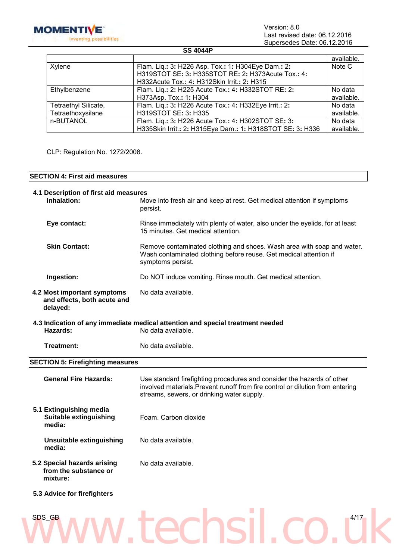

Version: 8.0 Last revised date: 06.12.2016 Supersedes Date: 06.12.2016

#### **SS 4044P**

|                      |                                                           | available. |
|----------------------|-----------------------------------------------------------|------------|
| Xylene               | Flam. Liq.: 3: H226 Asp. Tox.: 1: H304Eye Dam.: 2:        | Note C     |
|                      | H319STOT SE: 3: H335STOT RE: 2: H373Acute Tox.: 4:        |            |
|                      | H332Acute Tox.: 4: H312Skin Irrit.: 2: H315               |            |
| Ethylbenzene         | Flam. Liq.: 2: H225 Acute Tox.: 4: H332STOT RE: 2:        | No data    |
|                      | H373Asp. Tox.: 1: H304                                    | available. |
| Tetraethyl Silicate, | Flam. Lig.: 3: H226 Acute Tox.: 4: H332Eye Irrit.: 2:     | No data    |
| Tetraethoxysilane    | H319STOT SE: 3: H335                                      | available. |
| n-BUTANOL            | Flam. Lig.: 3: H226 Acute Tox.: 4: H302STOT SE: 3:        | No data    |
|                      | H335Skin Irrit.: 2: H315Eye Dam.: 1: H318STOT SE: 3: H336 | available. |

CLP: Regulation No. 1272/2008.

#### **SECTION 4: First aid measures**

| 4.1 Description of first aid measures<br>Inhalation:                   | Move into fresh air and keep at rest. Get medical attention if symptoms<br>persist.                                                                                                                    |
|------------------------------------------------------------------------|--------------------------------------------------------------------------------------------------------------------------------------------------------------------------------------------------------|
| Eye contact:                                                           | Rinse immediately with plenty of water, also under the eyelids, for at least<br>15 minutes. Get medical attention.                                                                                     |
| <b>Skin Contact:</b>                                                   | Remove contaminated clothing and shoes. Wash area with soap and water.<br>Wash contaminated clothing before reuse. Get medical attention if<br>symptoms persist.                                       |
| Ingestion:                                                             | Do NOT induce vomiting. Rinse mouth. Get medical attention.                                                                                                                                            |
| 4.2 Most important symptoms<br>and effects, both acute and<br>delayed: | No data available.                                                                                                                                                                                     |
| Hazards:                                                               | 4.3 Indication of any immediate medical attention and special treatment needed<br>No data available.                                                                                                   |
| Treatment:                                                             | No data available.                                                                                                                                                                                     |
| <b>SECTION 5: Firefighting measures</b>                                |                                                                                                                                                                                                        |
| <b>General Fire Hazards:</b>                                           | Use standard firefighting procedures and consider the hazards of other<br>involved materials. Prevent runoff from fire control or dilution from entering<br>streams, sewers, or drinking water supply. |
| 5.1 Extinguishing media<br><b>Suitable extinguishing</b><br>media:     | Foam. Carbon dioxide                                                                                                                                                                                   |
| <b>Unsuitable extinguishing</b><br>media:                              | No data available.                                                                                                                                                                                     |
| 5.2 Special hazards arising<br>from the substance or<br>mixture:       | No data available.                                                                                                                                                                                     |
| 5.3 Advice for firefighters                                            |                                                                                                                                                                                                        |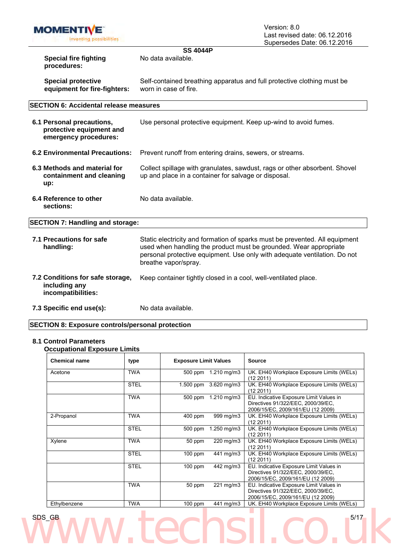

#### **SS 4044P** No data available.

**Special fire fighting procedures:**

**Special protective equipment for fire-fighters:** Self-contained breathing apparatus and full protective clothing must be worn in case of fire.

#### **SECTION 6: Accidental release measures**

**6.1 Personal precautions, protective equipment and emergency procedures:** Use personal protective equipment. Keep up-wind to avoid fumes. **6.2 Environmental Precautions:** Prevent runoff from entering drains, sewers, or streams. **6.3 Methods and material for containment and cleaning up:** Collect spillage with granulates, sawdust, rags or other absorbent. Shovel up and place in a container for salvage or disposal. **6.4 Reference to other sections:** No data available.

**SECTION 7: Handling and storage:**

- **7.1 Precautions for safe handling:** Static electricity and formation of sparks must be prevented. All equipment used when handling the product must be grounded. Wear appropriate personal protective equipment. Use only with adequate ventilation. Do not breathe vapor/spray. **7.2 Conditions for safe storage, including any incompatibilities:** Keep container tightly closed in a cool, well-ventilated place.
- **7.3 Specific end use(s):** No data available.

#### **SECTION 8: Exposure controls/personal protection**

#### **8.1 Control Parameters**

**Occupational Exposure Limits**

| <b>Chemical name</b> | type        | <b>Exposure Limit Values</b> |                    | <b>Source</b>                                                                                                      |
|----------------------|-------------|------------------------------|--------------------|--------------------------------------------------------------------------------------------------------------------|
| Acetone              | <b>TWA</b>  | 500 ppm                      | 1.210 $mg/m3$      | UK. EH40 Workplace Exposure Limits (WELs)<br>(122011)                                                              |
|                      | <b>STEL</b> | 1.500 ppm                    | 3.620 mg/m3        | UK. EH40 Workplace Exposure Limits (WELs)<br>(122011)                                                              |
|                      | <b>TWA</b>  | 500 ppm                      | $1.210$ mg/m $3$   | EU. Indicative Exposure Limit Values in<br>Directives 91/322/EEC, 2000/39/EC,<br>2006/15/EC, 2009/161/EU (12 2009) |
| 2-Propanol           | <b>TWA</b>  | 400 ppm                      | 999 mg/m3          | UK. EH40 Workplace Exposure Limits (WELs)<br>(12 2011)                                                             |
|                      | <b>STEL</b> | 500 ppm                      | 1.250 mg/m3        | UK. EH40 Workplace Exposure Limits (WELs)<br>(12 2011)                                                             |
| Xylene               | TWA         | 50 ppm                       | 220 mg/m3          | UK. EH40 Workplace Exposure Limits (WELs)<br>(122011)                                                              |
|                      | <b>STEL</b> | $100$ ppm                    | 441 mg/m3          | UK. EH40 Workplace Exposure Limits (WELs)<br>(122011)                                                              |
|                      | <b>STEL</b> | 100 ppm                      | 442 mg/m3          | EU. Indicative Exposure Limit Values in<br>Directives 91/322/EEC, 2000/39/EC,<br>2006/15/EC, 2009/161/EU (12 2009) |
|                      | <b>TWA</b>  | 50 ppm                       | $221 \text{ mg/m}$ | EU. Indicative Exposure Limit Values in<br>Directives 91/322/EEC, 2000/39/EC,<br>2006/15/EC, 2009/161/EU (12 2009) |
| Ethylbenzene         | TWA         | $100$ ppm                    | 441 mg/m3          | UK. EH40 Workplace Exposure Limits (WELs)                                                                          |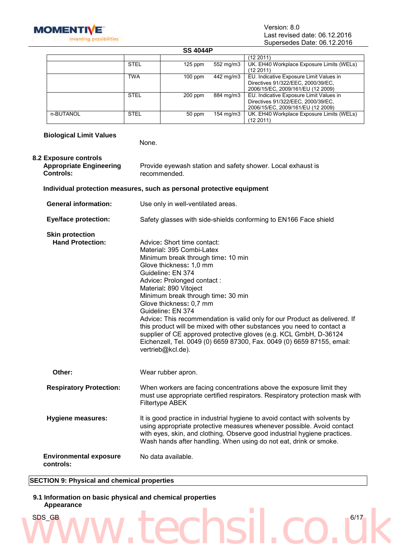

#### **SS 4044P**

|           |             |           |           | (12 2011)                                 |
|-----------|-------------|-----------|-----------|-------------------------------------------|
|           | <b>STEL</b> | $125$ ppm | 552 mg/m3 | UK. EH40 Workplace Exposure Limits (WELs) |
|           |             |           |           | (12 2011)                                 |
|           | <b>TWA</b>  | $100$ ppm | 442 mg/m3 | EU. Indicative Exposure Limit Values in   |
|           |             |           |           | Directives 91/322/EEC, 2000/39/EC,        |
|           |             |           |           | 2006/15/EC, 2009/161/EU (12 2009)         |
|           | <b>STEL</b> | $200$ ppm | 884 mg/m3 | EU. Indicative Exposure Limit Values in   |
|           |             |           |           | Directives 91/322/EEC, 2000/39/EC,        |
|           |             |           |           | 2006/15/EC, 2009/161/EU (12 2009)         |
| n-BUTANOL | <b>STEL</b> | 50 ppm    | 154 mg/m3 | UK. EH40 Workplace Exposure Limits (WELs) |
|           |             |           |           | (12 2011)                                 |

| <b>Biological Limit Values</b>                                              | None.                                                                                                                                                                                                                                                                                                                                                                                                                                                                                                                                                                                                                    |
|-----------------------------------------------------------------------------|--------------------------------------------------------------------------------------------------------------------------------------------------------------------------------------------------------------------------------------------------------------------------------------------------------------------------------------------------------------------------------------------------------------------------------------------------------------------------------------------------------------------------------------------------------------------------------------------------------------------------|
| 8.2 Exposure controls<br><b>Appropriate Engineering</b><br><b>Controls:</b> | Provide eyewash station and safety shower. Local exhaust is<br>recommended.                                                                                                                                                                                                                                                                                                                                                                                                                                                                                                                                              |
|                                                                             | Individual protection measures, such as personal protective equipment                                                                                                                                                                                                                                                                                                                                                                                                                                                                                                                                                    |
| <b>General information:</b>                                                 | Use only in well-ventilated areas.                                                                                                                                                                                                                                                                                                                                                                                                                                                                                                                                                                                       |
| <b>Eye/face protection:</b>                                                 | Safety glasses with side-shields conforming to EN166 Face shield                                                                                                                                                                                                                                                                                                                                                                                                                                                                                                                                                         |
| <b>Skin protection</b><br><b>Hand Protection:</b>                           | Advice: Short time contact:<br>Material: 395 Combi-Latex<br>Minimum break through time: 10 min<br>Glove thickness: 1,0 mm<br>Guideline: EN 374<br>Advice: Prolonged contact:<br>Material: 890 Vitoject<br>Minimum break through time: 30 min<br>Glove thickness: 0,7 mm<br>Guideline: EN 374<br>Advice: This recommendation is valid only for our Product as delivered. If<br>this product will be mixed with other substances you need to contact a<br>supplier of CE approved protective gloves (e.g. KCL GmbH, D-36124<br>Eichenzell, Tel. 0049 (0) 6659 87300, Fax. 0049 (0) 6659 87155, email:<br>vertrieb@kcl.de). |
| Other:                                                                      | Wear rubber apron.                                                                                                                                                                                                                                                                                                                                                                                                                                                                                                                                                                                                       |
| <b>Respiratory Protection:</b>                                              | When workers are facing concentrations above the exposure limit they<br>must use appropriate certified respirators. Respiratory protection mask with<br>Filtertype ABEK                                                                                                                                                                                                                                                                                                                                                                                                                                                  |
| <b>Hygiene measures:</b>                                                    | It is good practice in industrial hygiene to avoid contact with solvents by<br>using appropriate protective measures whenever possible. Avoid contact<br>with eyes, skin, and clothing. Observe good industrial hygiene practices.<br>Wash hands after handling. When using do not eat, drink or smoke.                                                                                                                                                                                                                                                                                                                  |
| <b>Environmental exposure</b><br>controls:                                  | No data available.                                                                                                                                                                                                                                                                                                                                                                                                                                                                                                                                                                                                       |

ww.techsil.co.uk

#### **SECTION 9: Physical and chemical properties**

#### **9.1 Information on basic physical and chemical properties Appearance**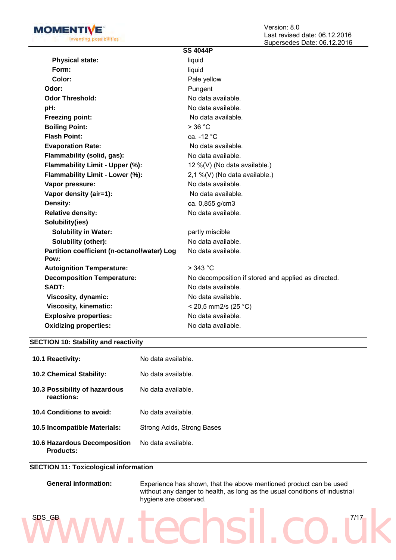

|                                                     | <b>SS 4044P</b>                                     |
|-----------------------------------------------------|-----------------------------------------------------|
| <b>Physical state:</b>                              | liquid                                              |
| Form:                                               | liquid                                              |
| Color:                                              | Pale yellow                                         |
| Odor:                                               | Pungent                                             |
| <b>Odor Threshold:</b>                              | No data available.                                  |
| pH:                                                 | No data available.                                  |
| <b>Freezing point:</b>                              | No data available.                                  |
| <b>Boiling Point:</b>                               | $>$ 36 °C                                           |
| <b>Flash Point:</b>                                 | ca. -12 °C                                          |
| <b>Evaporation Rate:</b>                            | No data available.                                  |
| Flammability (solid, gas):                          | No data available.                                  |
| Flammability Limit - Upper (%):                     | 12 %(V) (No data available.)                        |
| Flammability Limit - Lower (%):                     | 2,1 %(V) (No data available.)                       |
| Vapor pressure:                                     | No data available.                                  |
| Vapor density (air=1):                              | No data available.                                  |
| Density:                                            | ca. 0,855 g/cm3                                     |
| <b>Relative density:</b>                            | No data available.                                  |
| Solubility(ies)                                     |                                                     |
| <b>Solubility in Water:</b>                         | partly miscible                                     |
| Solubility (other):                                 | No data available.                                  |
| Partition coefficient (n-octanol/water) Log<br>Pow: | No data available.                                  |
| <b>Autoignition Temperature:</b>                    | $>$ 343 °C                                          |
| <b>Decomposition Temperature:</b>                   | No decomposition if stored and applied as directed. |
| SADT:                                               | No data available.                                  |
| Viscosity, dynamic:                                 | No data available.                                  |
| <b>Viscosity, kinematic:</b>                        | < 20,5 mm2/s (25 °C)                                |
| <b>Explosive properties:</b>                        | No data available.                                  |
| <b>Oxidizing properties:</b>                        | No data available.                                  |
|                                                     |                                                     |

#### **SECTION 10: Stability and reactivity**

| <b>10.1 Reactivity:</b>                                 | No data available.         |
|---------------------------------------------------------|----------------------------|
| <b>10.2 Chemical Stability:</b>                         | No data available.         |
| 10.3 Possibility of hazardous<br>reactions:             | No data available.         |
| 10.4 Conditions to avoid:                               | No data available.         |
| 10.5 Incompatible Materials:                            | Strong Acids, Strong Bases |
| <b>10.6 Hazardous Decomposition</b><br><b>Products:</b> | No data available.         |

#### **SECTION 11: Toxicological information**

| <b>General information:</b> | Experience has showr  |  |  |
|-----------------------------|-----------------------|--|--|
|                             | without any danger to |  |  |

#### n, that the above mentioned product can be used health, as long as the usual conditions of industrial hygiene are observed.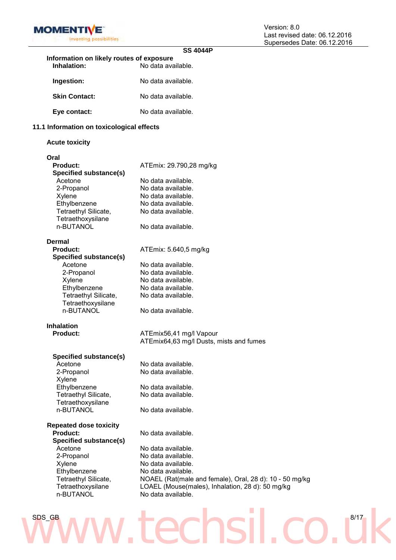

|                                           | <b>SS 4044P</b>                                         |
|-------------------------------------------|---------------------------------------------------------|
| Information on likely routes of exposure  |                                                         |
| <b>Inhalation:</b>                        | No data available.                                      |
|                                           |                                                         |
| Ingestion:                                | No data available.                                      |
| <b>Skin Contact:</b>                      | No data available.                                      |
| Eye contact:                              | No data available.                                      |
| 11.1 Information on toxicological effects |                                                         |
| <b>Acute toxicity</b>                     |                                                         |
|                                           |                                                         |
| Oral                                      |                                                         |
| <b>Product:</b>                           | ATEmix: 29.790,28 mg/kg                                 |
| <b>Specified substance(s)</b>             |                                                         |
| Acetone                                   | No data available.                                      |
| 2-Propanol                                | No data available.                                      |
| Xylene                                    | No data available.                                      |
| Ethylbenzene                              | No data available.                                      |
| Tetraethyl Silicate,                      | No data available.                                      |
| Tetraethoxysilane                         |                                                         |
| n-BUTANOL                                 | No data available.                                      |
|                                           |                                                         |
| Dermal                                    |                                                         |
| <b>Product:</b>                           | ATEmix: 5.640,5 mg/kg                                   |
|                                           |                                                         |
| <b>Specified substance(s)</b>             |                                                         |
| Acetone                                   | No data available.                                      |
| 2-Propanol                                | No data available.                                      |
| Xylene                                    | No data available.                                      |
| Ethylbenzene                              | No data available.                                      |
| Tetraethyl Silicate,                      | No data available.                                      |
| Tetraethoxysilane                         |                                                         |
| n-BUTANOL                                 | No data available.                                      |
| <b>Inhalation</b>                         |                                                         |
| <b>Product:</b>                           | ATEmix56,41 mg/l Vapour                                 |
|                                           | ATEmix64,63 mg/l Dusts, mists and fumes                 |
|                                           |                                                         |
| Specified substance(s)                    |                                                         |
| Acetone                                   | No data available.                                      |
| 2-Propanol                                | No data available.                                      |
| Xylene                                    |                                                         |
| Ethylbenzene                              | No data available.                                      |
| Tetraethyl Silicate,                      | No data available.                                      |
| Tetraethoxysilane                         |                                                         |
| n-BUTANOL                                 | No data available.                                      |
| <b>Repeated dose toxicity</b>             |                                                         |
| <b>Product:</b>                           | No data available.                                      |
| <b>Specified substance(s)</b>             |                                                         |
| Acetone                                   | No data available.                                      |
|                                           | No data available.                                      |
| 2-Propanol                                |                                                         |
| Xylene                                    | No data available.                                      |
| Ethylbenzene                              | No data available.                                      |
| Tetraethyl Silicate,                      | NOAEL (Rat(male and female), Oral, 28 d): 10 - 50 mg/kg |
| Tetraethoxysilane                         | LOAEL (Mouse(males), Inhalation, 28 d): 50 mg/kg        |
| n-BUTANOL                                 | No data available.                                      |
|                                           |                                                         |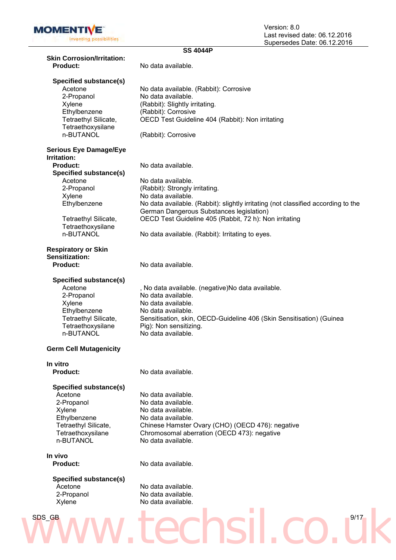

|                                                     | <b>SS 4044P</b>                                                                   |  |  |  |
|-----------------------------------------------------|-----------------------------------------------------------------------------------|--|--|--|
| <b>Skin Corrosion/Irritation:</b>                   |                                                                                   |  |  |  |
| <b>Product:</b>                                     | No data available.                                                                |  |  |  |
| Specified substance(s)                              |                                                                                   |  |  |  |
| Acetone                                             | No data available. (Rabbit): Corrosive                                            |  |  |  |
| 2-Propanol                                          | No data available.                                                                |  |  |  |
| Xylene                                              | (Rabbit): Slightly irritating.                                                    |  |  |  |
| Ethylbenzene                                        | (Rabbit): Corrosive                                                               |  |  |  |
| Tetraethyl Silicate,                                |                                                                                   |  |  |  |
|                                                     | OECD Test Guideline 404 (Rabbit): Non irritating                                  |  |  |  |
| Tetraethoxysilane<br>n-BUTANOL                      | (Rabbit): Corrosive                                                               |  |  |  |
|                                                     |                                                                                   |  |  |  |
| <b>Serious Eye Damage/Eye</b><br><b>Irritation:</b> |                                                                                   |  |  |  |
| <b>Product:</b>                                     | No data available.                                                                |  |  |  |
|                                                     |                                                                                   |  |  |  |
| <b>Specified substance(s)</b>                       |                                                                                   |  |  |  |
| Acetone                                             | No data available.                                                                |  |  |  |
| 2-Propanol                                          | (Rabbit): Strongly irritating.                                                    |  |  |  |
| Xylene                                              | No data available.                                                                |  |  |  |
| Ethylbenzene                                        | No data available. (Rabbit): slightly irritating (not classified according to the |  |  |  |
|                                                     | German Dangerous Substances legislation)                                          |  |  |  |
| Tetraethyl Silicate,                                | OECD Test Guideline 405 (Rabbit, 72 h): Non irritating                            |  |  |  |
| Tetraethoxysilane                                   |                                                                                   |  |  |  |
| n-BUTANOL                                           | No data available. (Rabbit): Irritating to eyes.                                  |  |  |  |
|                                                     |                                                                                   |  |  |  |
| <b>Respiratory or Skin</b>                          |                                                                                   |  |  |  |
| <b>Sensitization:</b>                               |                                                                                   |  |  |  |
| <b>Product:</b>                                     | No data available.                                                                |  |  |  |
| Specified substance(s)                              |                                                                                   |  |  |  |
| Acetone                                             | , No data available. (negative)No data available.                                 |  |  |  |
| 2-Propanol                                          | No data available.                                                                |  |  |  |
|                                                     |                                                                                   |  |  |  |
| Xylene                                              | No data available.                                                                |  |  |  |
| Ethylbenzene                                        | No data available.                                                                |  |  |  |
| Tetraethyl Silicate,                                | Sensitisation, skin, OECD-Guideline 406 (Skin Sensitisation) (Guinea              |  |  |  |
| Tetraethoxysilane                                   | Pig): Non sensitizing.                                                            |  |  |  |
| n-BUTANOL                                           | No data available.                                                                |  |  |  |
| <b>Germ Cell Mutagenicity</b>                       |                                                                                   |  |  |  |
| In vitro                                            |                                                                                   |  |  |  |
| <b>Product:</b>                                     | No data available.                                                                |  |  |  |
|                                                     |                                                                                   |  |  |  |
| Specified substance(s)<br>Acetone                   | No data available.                                                                |  |  |  |
|                                                     | No data available.                                                                |  |  |  |
| 2-Propanol                                          |                                                                                   |  |  |  |
| Xylene                                              | No data available.                                                                |  |  |  |
| Ethylbenzene                                        | No data available.                                                                |  |  |  |
| Tetraethyl Silicate,                                | Chinese Hamster Ovary (CHO) (OECD 476): negative                                  |  |  |  |
| Tetraethoxysilane                                   | Chromosomal aberration (OECD 473): negative                                       |  |  |  |
| n-BUTANOL                                           | No data available.                                                                |  |  |  |
| In vivo                                             |                                                                                   |  |  |  |
| <b>Product:</b>                                     | No data available.                                                                |  |  |  |
|                                                     |                                                                                   |  |  |  |
| <b>Specified substance(s)</b>                       |                                                                                   |  |  |  |
| Acetone                                             | No data available.                                                                |  |  |  |
| 2-Propanol                                          | No data available.                                                                |  |  |  |
| Xylene                                              | No data available.                                                                |  |  |  |
| SDS_GB                                              | 9/17                                                                              |  |  |  |
|                                                     |                                                                                   |  |  |  |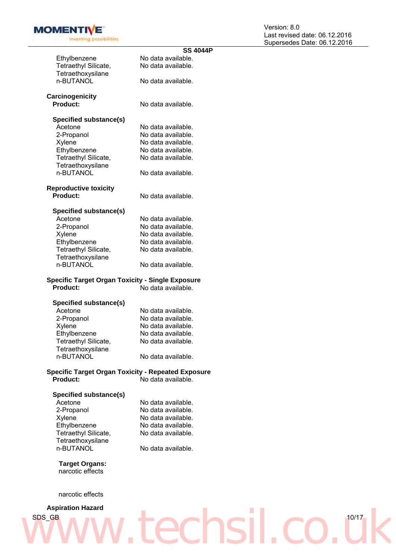

| <b>SS 4044P</b>                                           |
|-----------------------------------------------------------|
| No data available.                                        |
| No data available.                                        |
|                                                           |
| No data available.                                        |
|                                                           |
|                                                           |
| No data available.                                        |
|                                                           |
|                                                           |
| No data available.                                        |
| No data available.                                        |
| No data available.                                        |
| No data available.                                        |
| No data available.                                        |
|                                                           |
| No data available.                                        |
|                                                           |
| No data available.                                        |
|                                                           |
|                                                           |
| No data available.                                        |
| No data available.                                        |
| No data available.                                        |
| No data available.                                        |
| No data available.                                        |
|                                                           |
| No data available.                                        |
|                                                           |
| <b>Specific Target Organ Toxicity - Single Exposure</b>   |
| No data available.                                        |
|                                                           |
|                                                           |
| No data available.                                        |
| No data available.                                        |
| No data available.                                        |
| No data available.                                        |
| No data available.                                        |
|                                                           |
| No data available.                                        |
| <b>Specific Target Organ Toxicity - Repeated Exposure</b> |
| No data available.                                        |
|                                                           |
|                                                           |
| No data available.                                        |
| No data available.                                        |
| No data available.                                        |
| No data available.                                        |
| No data available.                                        |
|                                                           |
| No data available.                                        |
|                                                           |
|                                                           |

**Target Organs:** narcotic effects

narcotic effects

## ww.techsil.co.uk **Aspiration Hazard**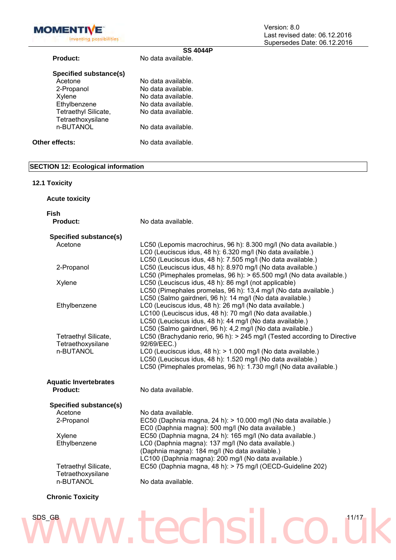

|                        | <b>SS 4044P</b>    |  |
|------------------------|--------------------|--|
| Product:               | No data available. |  |
| Specified substance(s) |                    |  |
| Acetone                | No data available. |  |
| 2-Propanol             | No data available. |  |
| Xylene                 | No data available. |  |
| Ethylbenzene           | No data available. |  |
| Tetraethyl Silicate,   | No data available. |  |
| Tetraethoxysilane      |                    |  |
| n-BUTANOL              | No data available. |  |
|                        |                    |  |
| Other effects:         | No data available. |  |
|                        |                    |  |

#### **SECTION 12: Ecological information**

#### **12.1 Toxicity**

| <b>Acute toxicity</b>                                  |                                                                                                                                                                                                                                                                                                |
|--------------------------------------------------------|------------------------------------------------------------------------------------------------------------------------------------------------------------------------------------------------------------------------------------------------------------------------------------------------|
| <b>Fish</b><br>Product:                                | No data available.                                                                                                                                                                                                                                                                             |
| Specified substance(s)                                 |                                                                                                                                                                                                                                                                                                |
| Acetone                                                | LC50 (Lepomis macrochirus, 96 h): 8.300 mg/l (No data available.)<br>LC0 (Leuciscus idus, 48 h): 6.320 mg/l (No data available.)<br>LC50 (Leuciscus idus, 48 h): 7.505 mg/l (No data available.)                                                                                               |
| 2-Propanol                                             | LC50 (Leuciscus idus, 48 h): 8.970 mg/l (No data available.)<br>LC50 (Pimephales promelas, 96 h): > 65.500 mg/l (No data available.)                                                                                                                                                           |
| Xylene                                                 | LC50 (Leuciscus idus, 48 h): 86 mg/l (not applicable)<br>LC50 (Pimephales promelas, 96 h): 13,4 mg/l (No data available.)<br>LC50 (Salmo gairdneri, 96 h): 14 mg/l (No data available.)                                                                                                        |
| Ethylbenzene                                           | LC0 (Leuciscus idus, 48 h): 26 mg/l (No data available.)<br>LC100 (Leuciscus idus, 48 h): 70 mg/l (No data available.)<br>LC50 (Leuciscus idus, 48 h): 44 mg/l (No data available.)<br>LC50 (Salmo gairdneri, 96 h): 4,2 mg/l (No data available.)                                             |
| Tetraethyl Silicate,<br>Tetraethoxysilane<br>n-BUTANOL | LC50 (Brachydanio rerio, 96 h): > 245 mg/l (Tested according to Directive<br>92/69/EEC.)<br>LC0 (Leuciscus idus, 48 h): > 1.000 mg/l (No data available.)<br>LC50 (Leuciscus idus, 48 h): 1.520 mg/l (No data available.)<br>LC50 (Pimephales promelas, 96 h): 1.730 mg/l (No data available.) |
| <b>Aquatic Invertebrates</b><br>Product:               | No data available.                                                                                                                                                                                                                                                                             |
|                                                        |                                                                                                                                                                                                                                                                                                |
| Specified substance(s)                                 |                                                                                                                                                                                                                                                                                                |
| Acetone<br>2-Propanol                                  | No data available.<br>EC50 (Daphnia magna, 24 h): > 10.000 mg/l (No data available.)<br>EC0 (Daphnia magna): 500 mg/l (No data available.)                                                                                                                                                     |
| Xylene<br>Ethylbenzene                                 | EC50 (Daphnia magna, 24 h): 165 mg/l (No data available.)<br>LC0 (Daphnia magna): 137 mg/l (No data available.)<br>(Daphnia magna): 184 mg/l (No data available.)<br>LC100 (Daphnia magna): 200 mg/l (No data available.)                                                                      |
| Tetraethyl Silicate,<br>Tetraethoxysilane              | EC50 (Daphnia magna, 48 h): > 75 mg/l (OECD-Guideline 202)                                                                                                                                                                                                                                     |
| n-BUTANOL                                              | No data available.                                                                                                                                                                                                                                                                             |
| <b>Chronic Toxicity</b>                                |                                                                                                                                                                                                                                                                                                |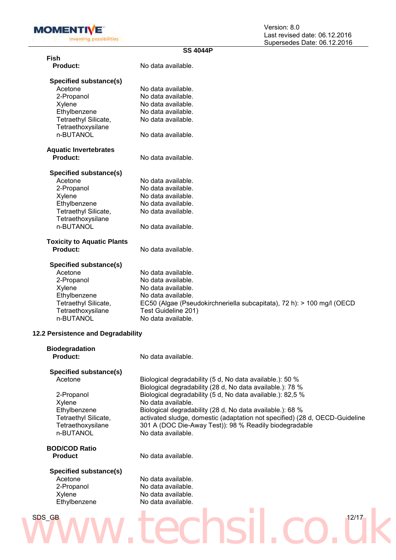

| <b>SS 4044P</b>                    |                                                                                               |  |
|------------------------------------|-----------------------------------------------------------------------------------------------|--|
| Fish                               |                                                                                               |  |
| Product:                           | No data available.                                                                            |  |
|                                    |                                                                                               |  |
| Specified substance(s)             |                                                                                               |  |
| Acetone                            | No data available.                                                                            |  |
| 2-Propanol                         | No data available.                                                                            |  |
| Xylene                             | No data available.                                                                            |  |
| Ethylbenzene                       | No data available.                                                                            |  |
| Tetraethyl Silicate,               | No data available.                                                                            |  |
| Tetraethoxysilane                  |                                                                                               |  |
| n-BUTANOL                          | No data available.                                                                            |  |
| <b>Aquatic Invertebrates</b>       |                                                                                               |  |
| Product:                           | No data available.                                                                            |  |
|                                    |                                                                                               |  |
| Specified substance(s)             |                                                                                               |  |
| Acetone                            | No data available.                                                                            |  |
| 2-Propanol                         | No data available.                                                                            |  |
| Xylene                             | No data available.                                                                            |  |
| Ethylbenzene                       | No data available.                                                                            |  |
| Tetraethyl Silicate,               | No data available.                                                                            |  |
| Tetraethoxysilane                  |                                                                                               |  |
| n-BUTANOL                          | No data available.                                                                            |  |
| <b>Toxicity to Aquatic Plants</b>  |                                                                                               |  |
| Product:                           | No data available.                                                                            |  |
|                                    |                                                                                               |  |
| Specified substance(s)<br>Acetone  | No data available.                                                                            |  |
|                                    | No data available.                                                                            |  |
| 2-Propanol                         | No data available.                                                                            |  |
| Xylene<br>Ethylbenzene             | No data available.                                                                            |  |
| Tetraethyl Silicate,               |                                                                                               |  |
| Tetraethoxysilane                  | EC50 (Algae (Pseudokirchneriella subcapitata), 72 h): > 100 mg/l (OECD<br>Test Guideline 201) |  |
| n-BUTANOL                          | No data available.                                                                            |  |
|                                    |                                                                                               |  |
| 12.2 Persistence and Degradability |                                                                                               |  |
| <b>Biodegradation</b>              |                                                                                               |  |
| Product:                           | No data available.                                                                            |  |
|                                    |                                                                                               |  |

### **Specified substance(s)**

Xylene No data available.<br>Ethylbenzene Biological degrada Tetraethyl Silicate, Tetraethoxysilane<br>n-BUTANOL

Acetone Biological degradability (5 d, No data available.): 50 % Biological degradability (28 d, No data available.): 78 % 2-Propanol Biological degradability (5 d, No data available.): 82,5 % Biological degradability (28 d, No data available.): 68 % activated sludge, domestic (adaptation not specified) (28 d, OECD-Guideline 301 A (DOC Die-Away Test)): 98 % Readily biodegradable No data available.

### **BOD/COD Ratio**

No data available.

### **Specified substance(s)**

Acetone (Acetone No data available.<br>2-Propanol (No data available.) No data available. Xylene No data available.<br>Ethylbenzene No data available. No data available.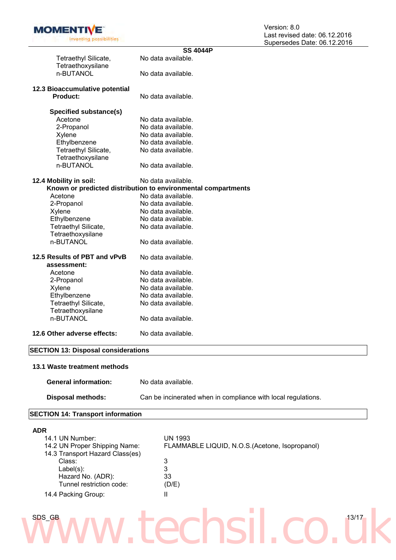

|                                               | <b>SS 4044P</b>                                               |
|-----------------------------------------------|---------------------------------------------------------------|
| Tetraethyl Silicate,                          | No data available.                                            |
| Tetraethoxysilane                             |                                                               |
| n-BUTANOL                                     | No data available.                                            |
|                                               |                                                               |
| 12.3 Bioaccumulative potential                |                                                               |
| Product:                                      | No data available.                                            |
| Specified substance(s)                        |                                                               |
| Acetone                                       | No data available.                                            |
| 2-Propanol                                    | No data available.                                            |
| Xylene                                        | No data available.                                            |
| Ethylbenzene                                  | No data available.                                            |
| Tetraethyl Silicate,                          | No data available.                                            |
|                                               |                                                               |
| Tetraethoxysilane                             |                                                               |
| n-BUTANOL                                     | No data available.                                            |
| 12.4 Mobility in soil:                        | No data available.                                            |
|                                               | Known or predicted distribution to environmental compartments |
| Acetone                                       | No data available.                                            |
| 2-Propanol                                    | No data available.                                            |
| Xylene                                        | No data available.                                            |
| Ethylbenzene                                  | No data available.                                            |
| Tetraethyl Silicate,                          | No data available.                                            |
| Tetraethoxysilane                             |                                                               |
| n-BUTANOL                                     | No data available.                                            |
|                                               |                                                               |
| 12.5 Results of PBT and vPvB                  | No data available.                                            |
| assessment:                                   |                                                               |
| Acetone                                       | No data available.                                            |
| 2-Propanol                                    | No data available.                                            |
| Xylene                                        | No data available.                                            |
| Ethylbenzene                                  | No data available.                                            |
| Tetraethyl Silicate,                          | No data available.                                            |
| Tetraethoxysilane                             |                                                               |
| n-BUTANOL                                     | No data available.                                            |
|                                               |                                                               |
| 12.6 Other adverse effects:                   | No data available.                                            |
|                                               |                                                               |
| <b>SECTION 13: Disposal considerations</b>    |                                                               |
|                                               |                                                               |
| 13.1 Waste treatment methods                  |                                                               |
|                                               |                                                               |
| <b>General information:</b>                   | No data available.                                            |
|                                               | Can be incinerated when in compliance with local regulations. |
| <b>Disposal methods:</b>                      |                                                               |
| <b>SECTION 14: Transport information</b>      |                                                               |
|                                               |                                                               |
| <b>ADR</b>                                    |                                                               |
| 14.1 UN Number:                               | <b>UN 1993</b>                                                |
| 14.2 UN Proper Shipping Name:                 | FLAMMABLE LIQUID, N.O.S. (Acetone, Isopropanol)               |
| 14.3 Transport Hazard Class(es)               |                                                               |
| Class:                                        | 3                                                             |
| $Label(s)$ :                                  | 3                                                             |
|                                               | 33                                                            |
| Hazard No. (ADR):<br>Tunnel restriction code: |                                                               |
|                                               | (D/E)                                                         |
| 14.4 Packing Group:                           | Ш                                                             |
|                                               |                                                               |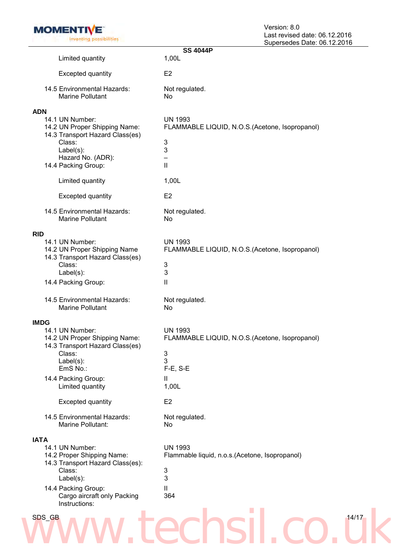

|                                                                                                                           | <b>SS 4044P</b>                                                             |
|---------------------------------------------------------------------------------------------------------------------------|-----------------------------------------------------------------------------|
| Limited quantity                                                                                                          | 1,00L                                                                       |
| <b>Excepted quantity</b>                                                                                                  | E <sub>2</sub>                                                              |
| 14.5 Environmental Hazards:<br><b>Marine Pollutant</b>                                                                    | Not regulated.<br>No                                                        |
| <b>ADN</b><br>14.1 UN Number:<br>14.2 UN Proper Shipping Name:<br>14.3 Transport Hazard Class(es)                         | <b>UN 1993</b><br>FLAMMABLE LIQUID, N.O.S.(Acetone, Isopropanol)            |
| Class:<br>$Label(s)$ :<br>Hazard No. (ADR):                                                                               | 3<br>3<br>—                                                                 |
| 14.4 Packing Group:                                                                                                       | $\mathbf{  }$                                                               |
| Limited quantity                                                                                                          | 1,00L                                                                       |
| <b>Excepted quantity</b>                                                                                                  | E <sub>2</sub>                                                              |
| 14.5 Environmental Hazards:<br><b>Marine Pollutant</b>                                                                    | Not regulated.<br>No                                                        |
| <b>RID</b><br>14.1 UN Number:<br>14.2 UN Proper Shipping Name<br>14.3 Transport Hazard Class(es)                          | <b>UN 1993</b><br>FLAMMABLE LIQUID, N.O.S. (Acetone, Isopropanol)           |
| Class:<br>$Label(s)$ :                                                                                                    | $\ensuremath{\mathsf{3}}$<br>3                                              |
| 14.4 Packing Group:                                                                                                       | Ш                                                                           |
| 14.5 Environmental Hazards:<br><b>Marine Pollutant</b>                                                                    | Not regulated.<br>No                                                        |
| <b>IMDG</b><br>14.1 UN Number:<br>14.2 UN Proper Shipping Name:<br>14.3 Transport Hazard Class(es)<br>Class:<br>Label(s): | <b>UN 1993</b><br>FLAMMABLE LIQUID, N.O.S. (Acetone, Isopropanol)<br>3<br>3 |
| EmS No.:                                                                                                                  | F-E, S-E                                                                    |
| 14.4 Packing Group:<br>Limited quantity                                                                                   | $\mathbf{H}$<br>1,00L                                                       |
| <b>Excepted quantity</b>                                                                                                  | E <sub>2</sub>                                                              |
| 14.5 Environmental Hazards:<br>Marine Pollutant:                                                                          | Not regulated.<br>No                                                        |
| <b>IATA</b><br>14.1 UN Number:<br>14.2 Proper Shipping Name:                                                              | <b>UN 1993</b><br>Flammable liquid, n.o.s. (Acetone, Isopropanol)           |
| 14.3 Transport Hazard Class(es):<br>Class:<br>Label(s):                                                                   | 3<br>3                                                                      |
| 14.4 Packing Group:<br>Cargo aircraft only Packing<br>Instructions:                                                       | Ш<br>364                                                                    |
| SDS_GB                                                                                                                    | 14/17                                                                       |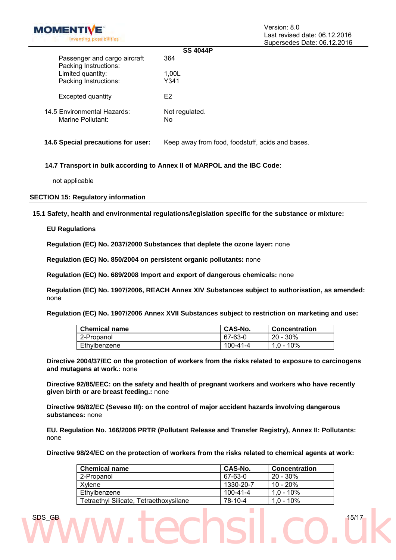

|                                                       | <b>SS 4044P</b>      |
|-------------------------------------------------------|----------------------|
| Passenger and cargo aircraft<br>Packing Instructions: | 364                  |
| Limited quantity:                                     | 1,00L                |
| Packing Instructions:                                 | Y341                 |
| Excepted quantity                                     | F2                   |
| 14.5 Environmental Hazards:<br>Marine Pollutant:      | Not regulated.<br>No |

**14.6 Special precautions for user:** Keep away from food, foodstuff, acids and bases.

#### **14.7 Transport in bulk according to Annex II of MARPOL and the IBC Code**:

not applicable

**SECTION 15: Regulatory information**

**15.1 Safety, health and environmental regulations/legislation specific for the substance or mixture:**

#### **EU Regulations**

**Regulation (EC) No. 2037/2000 Substances that deplete the ozone layer:** none

**Regulation (EC) No. 850/2004 on persistent organic pollutants:** none

**Regulation (EC) No. 689/2008 Import and export of dangerous chemicals:** none

**Regulation (EC) No. 1907/2006, REACH Annex XIV Substances subject to authorisation, as amended:**  none

**Regulation (EC) No. 1907/2006 Annex XVII Substances subject to restriction on marketing and use:** 

| <b>Chemical name</b> | CAS-No.  | <b>Concentration</b> |
|----------------------|----------|----------------------|
| 2-Propanol           | 67-63-0  | $20 - 30\%$          |
| Ethylbenzene         | 100-41-4 | 1,0 - 10%            |

**Directive 2004/37/EC on the protection of workers from the risks related to exposure to carcinogens and mutagens at work.:** none

**Directive 92/85/EEC: on the safety and health of pregnant workers and workers who have recently given birth or are breast feeding.:** none

**Directive 96/82/EC (Seveso III): on the control of major accident hazards involving dangerous substances:** none

**EU. Regulation No. 166/2006 PRTR (Pollutant Release and Transfer Registry), Annex II: Pollutants:**  none

**Directive 98/24/EC on the protection of workers from the risks related to chemical agents at work:** 

| <b>Chemical name</b>                   | CAS-No.   | <b>Concentration</b> |
|----------------------------------------|-----------|----------------------|
| 2-Propanol                             | 67-63-0   | $20 - 30\%$          |
| Xvlene                                 | 1330-20-7 | $10 - 20%$           |
| Ethylbenzene                           | 100-41-4  | $1.0 - 10\%$         |
| Tetraethyl Silicate, Tetraethoxysilane | 78-10-4   | $1.0 - 10\%$         |

SDS\_GB 15/17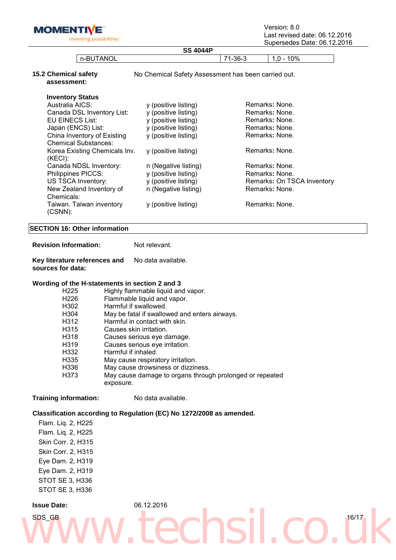**MOMENTIVE** inventing possibilities Version: 8.0 Last revised date: 06.12.2016 Supersedes Date: 06.12.2016

|                                                            | <b>SS 4044P</b>                                     |                | Supersedes Date: 06.12.201 |  |
|------------------------------------------------------------|-----------------------------------------------------|----------------|----------------------------|--|
| n-BUTANOL                                                  |                                                     | $71-36-3$      | $1,0 - 10%$                |  |
| <b>15.2 Chemical safety</b><br>assessment:                 | No Chemical Safety Assessment has been carried out. |                |                            |  |
| <b>Inventory Status</b>                                    |                                                     |                |                            |  |
| Australia AICS:                                            | y (positive listing)                                |                | Remarks: None.             |  |
| Canada DSL Inventory List:                                 | y (positive listing)                                | Remarks: None. |                            |  |
| EU EINECS List:                                            | y (positive listing)                                |                | Remarks: None.             |  |
| Japan (ENCS) List:                                         | y (positive listing)                                |                | Remarks: None.             |  |
| China Inventory of Existing<br><b>Chemical Substances:</b> | y (positive listing)                                |                | Remarks: None.             |  |
| Korea Existing Chemicals Inv.<br>(KECI):                   | y (positive listing)                                |                | Remarks: None.             |  |
| Canada NDSL Inventory:                                     | n (Negative listing)                                |                | Remarks: None.             |  |
| Philippines PICCS:                                         | y (positive listing)                                |                | Remarks: None.             |  |
| US TSCA Inventory:                                         | y (positive listing)                                |                | Remarks: On TSCA Inventory |  |
| New Zealand Inventory of<br>Chemicals:                     | n (Negative listing)                                |                | Remarks: None.             |  |
| Taiwan. Taiwan inventory<br>$(CSNN)$ :                     | y (positive listing)                                |                | Remarks: None.             |  |
| <b>SECTION 16: Other information</b>                       |                                                     |                |                            |  |
| <b>Revision Information:</b>                               | Not relevant.                                       |                |                            |  |
| Key literature references and<br>sources for data:         | No data available.                                  |                |                            |  |
| Wording of the H-statements in section 2 and 3             |                                                     |                |                            |  |
| H <sub>225</sub>                                           | Highly flammable liquid and vapor.                  |                |                            |  |
| H226                                                       | Flammable liquid and vapor.                         |                |                            |  |
| H302                                                       | Harmful if swallowed.                               |                |                            |  |
| H304                                                       | May be fatal if swallowed and enters airways.       |                |                            |  |
| H312                                                       | Harmful in contact with skin.                       |                |                            |  |
| H315                                                       | Causes skin irritation.                             |                |                            |  |

- H318 Causes serious eye damage.
- 
- H319 Causes serious eye irritation.<br>H332 Harmful if inhaled.
- Harmful if inhaled.<br>H335 May cause respira May cause respiratory irritation.
- H336 May cause drowsiness or dizziness.
- H373 May cause damage to organs through prolonged or repeated exposure.

**Training information:** No data available.

### **Classification according to Regulation (EC) No 1272/2008 as amended.**

Flam. Liq. 2, H225 Flam. Liq. 2, H225 Skin Corr. 2, H315 Skin Corr. 2, H315 Eye Dam. 2, H319 Eye Dam. 2, H319 STOT SE 3, H336 STOT SE 3, H336

ww.techsil.co.uk **Issue Date:** 06.12.2016